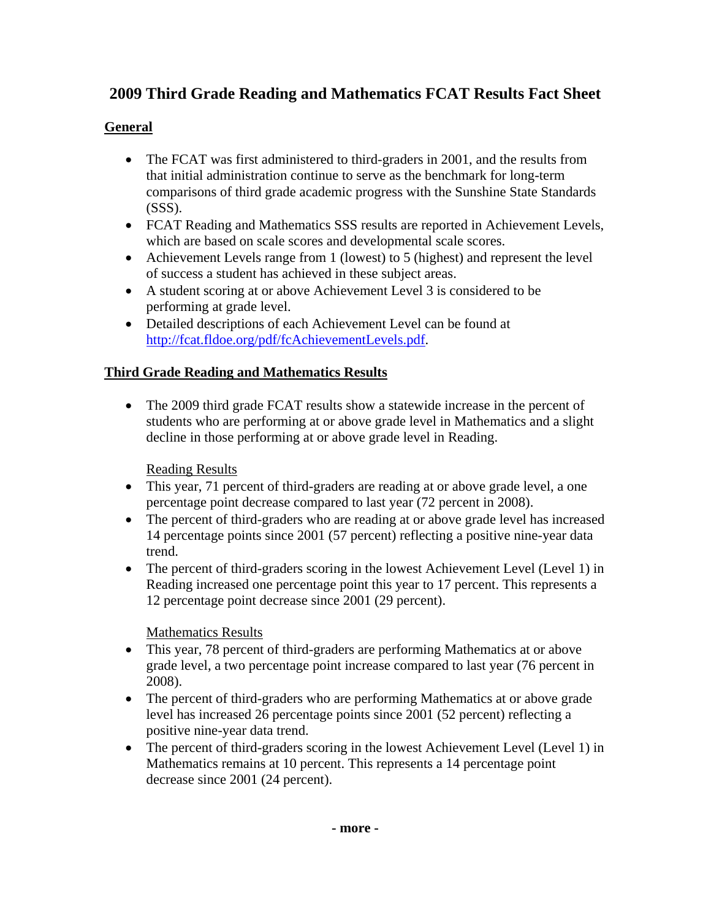# **2009 Third Grade Reading and Mathematics FCAT Results Fact Sheet**

## **General**

- The FCAT was first administered to third-graders in 2001, and the results from that initial administration continue to serve as the benchmark for long-term comparisons of third grade academic progress with the Sunshine State Standards  $(SSS)$ .
- FCAT Reading and Mathematics SSS results are reported in Achievement Levels, which are based on scale scores and developmental scale scores.
- Achievement Levels range from 1 (lowest) to 5 (highest) and represent the level of success a student has achieved in these subject areas.
- A student scoring at or above Achievement Level 3 is considered to be performing at grade level.
- Detailed descriptions of each Achievement Level can be found at <http://fcat.fldoe.org/pdf/fcAchievementLevels.pdf>.

### **Third Grade Reading and Mathematics Results**

• The 2009 third grade FCAT results show a statewide increase in the percent of students who are performing at or above grade level in Mathematics and a slight decline in those performing at or above grade level in Reading.

Reading Results

- This year, 71 percent of third-graders are reading at or above grade level, a one percentage point decrease compared to last year (72 percent in 2008).
- The percent of third-graders who are reading at or above grade level has increased 14 percentage points since 2001 (57 percent) reflecting a positive nine-year data trend.
- The percent of third-graders scoring in the lowest Achievement Level (Level 1) in Reading increased one percentage point this year to 17 percent. This represents a 12 percentage point decrease since 2001 (29 percent).

Mathematics Results

- This year, 78 percent of third-graders are performing Mathematics at or above grade level, a two percentage point increase compared to last year (76 percent in 2008).
- The percent of third-graders who are performing Mathematics at or above grade level has increased 26 percentage points since 2001 (52 percent) reflecting a positive nine-year data trend.
- The percent of third-graders scoring in the lowest Achievement Level (Level 1) in Mathematics remains at 10 percent. This represents a 14 percentage point decrease since 2001 (24 percent).